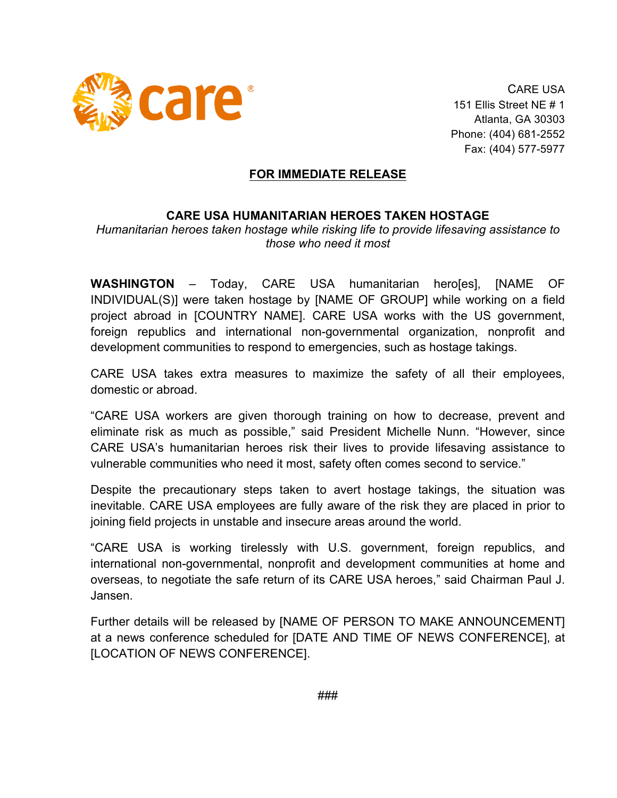

CARE USA 151 Ellis Street NE # 1 Atlanta, GA 30303 Phone: (404) 681-2552 Fax: (404) 577-5977

## **FOR IMMEDIATE RELEASE**

## **CARE USA HUMANITARIAN HEROES TAKEN HOSTAGE**

*Humanitarian heroes taken hostage while risking life to provide lifesaving assistance to those who need it most*

**WASHINGTON** – Today, CARE USA humanitarian hero[es], [NAME OF INDIVIDUAL(S)] were taken hostage by [NAME OF GROUP] while working on a field project abroad in [COUNTRY NAME]. CARE USA works with the US government, foreign republics and international non-governmental organization, nonprofit and development communities to respond to emergencies, such as hostage takings.

CARE USA takes extra measures to maximize the safety of all their employees, domestic or abroad.

"CARE USA workers are given thorough training on how to decrease, prevent and eliminate risk as much as possible," said President Michelle Nunn. "However, since CARE USA's humanitarian heroes risk their lives to provide lifesaving assistance to vulnerable communities who need it most, safety often comes second to service."

Despite the precautionary steps taken to avert hostage takings, the situation was inevitable. CARE USA employees are fully aware of the risk they are placed in prior to joining field projects in unstable and insecure areas around the world.

"CARE USA is working tirelessly with U.S. government, foreign republics, and international non-governmental, nonprofit and development communities at home and overseas, to negotiate the safe return of its CARE USA heroes," said Chairman Paul J. Jansen.

Further details will be released by [NAME OF PERSON TO MAKE ANNOUNCEMENT] at a news conference scheduled for [DATE AND TIME OF NEWS CONFERENCE], at [LOCATION OF NEWS CONFERENCE].